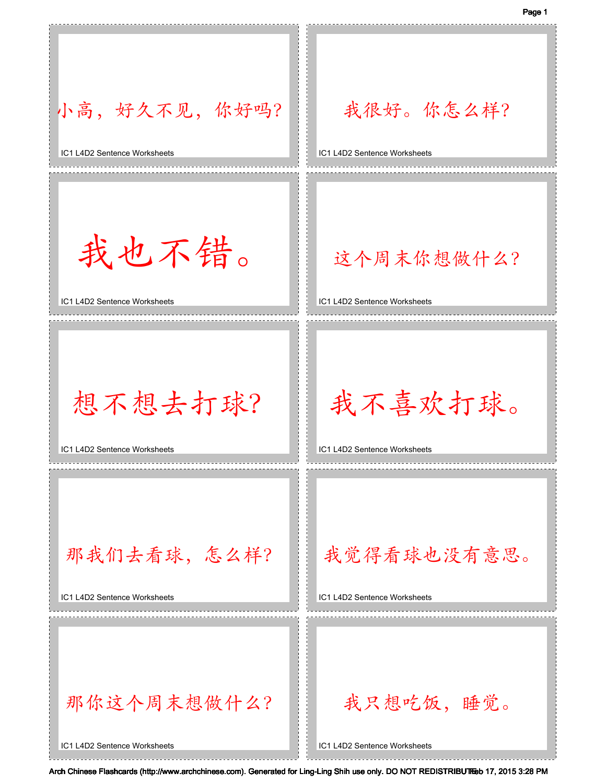

IC1 L4D2 Sentence Worksheets

IC1 L4D2 Sentence Worksheets

IC1 L4D2 Sentence Worksheets

IC1 L4D2 Sentence Worksheets

IC1 L4D2 Sentence Worksheets

IC1 L4D2 Sentence Worksheets

Arch Chinese Flashcards (http://www.archchinese.com). Generated for Ling-Ling Shih use only. DO NOT REDISTRIBUTEeb 17, 2015 3:28 PM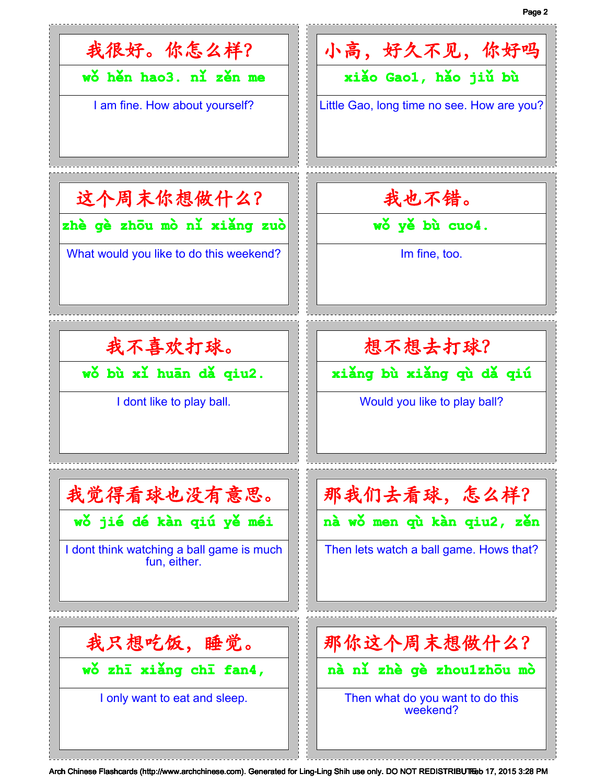

Arch Chinese Flashcards (http://www.archchinese.com). Generated for Ling-Ling Shih use only. DO NOT REDISTRIBUTEeb 17, 2015 3:28 PM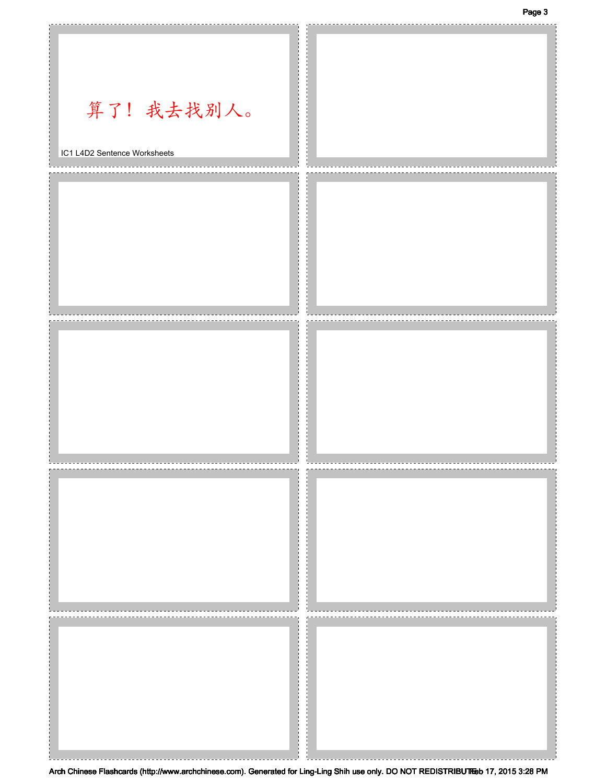Page 3



Arch Chinese Flashcards (http://www.archchinese.com). Generated for Ling-Ling Shih use only. DO NOT REDISTRIBUTEeb 17, 2015 3:28 PM